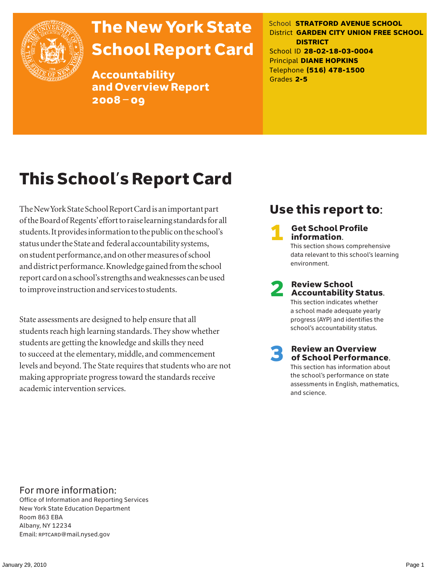

# The New York State School Report Card

Accountability and Overview Report 2008–09

School **STRATFORD AVENUE SCHOOL** District **GARDEN CITY UNION FREE SCHOOL DISTRICT** School ID **28-02-18-03-0004** Principal **DIANE HOPKINS** Telephone **(516) 478-1500** Grades **2-5**

# This School's Report Card

The New York State School Report Card is an important part of the Board of Regents' effort to raise learning standards for all students. It provides information to the public on the school's status under the State and federal accountability systems, on student performance, and on other measures of school and district performance. Knowledge gained from the school report card on a school's strengths and weaknesses can be used to improve instruction and services to students.

State assessments are designed to help ensure that all students reach high learning standards. They show whether students are getting the knowledge and skills they need to succeed at the elementary, middle, and commencement levels and beyond. The State requires that students who are not making appropriate progress toward the standards receive academic intervention services.

## Use this report to:

**Get School Profile** information. This section shows comprehensive data relevant to this school's learning environment.

# 2 Review School Accountability Status.

This section indicates whether a school made adequate yearly progress (AYP) and identifies the school's accountability status.

3 Review an Overview of School Performance. This section has information about

the school's performance on state assessments in English, mathematics, and science.

### For more information:

Office of Information and Reporting Services New York State Education Department Room 863 EBA Albany, NY 12234 Email: RPTCARD@mail.nysed.gov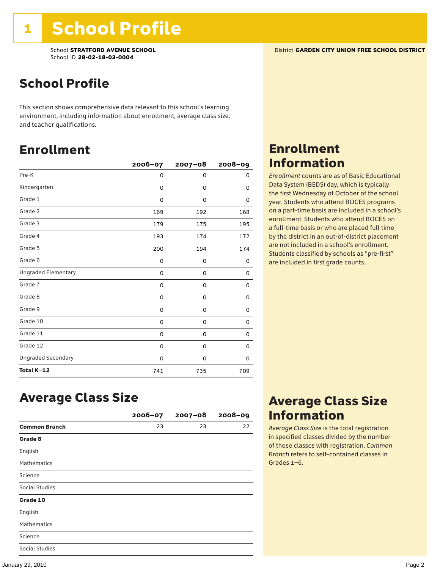### School Profile

This section shows comprehensive data relevant to this school's learning environment, including information about enrollment, average class size, and teacher qualifications.

### Enrollment

|                            | 2006-07 | $2007 - 08$ | $2008 - 09$ |
|----------------------------|---------|-------------|-------------|
| Pre-K                      | 0       | 0           | 0           |
| Kindergarten               | 0       | 0           | 0           |
| Grade 1                    | 0       | 0           | 0           |
| Grade 2                    | 169     | 192         | 168         |
| Grade 3                    | 179     | 175         | 195         |
| Grade 4                    | 193     | 174         | 172         |
| Grade 5                    | 200     | 194         | 174         |
| Grade 6                    | 0       | 0           | 0           |
| <b>Ungraded Elementary</b> | 0       | 0           | 0           |
| Grade 7                    | 0       | 0           | 0           |
| Grade 8                    | 0       | 0           | 0           |
| Grade 9                    | 0       | 0           | 0           |
| Grade 10                   | 0       | 0           | 0           |
| Grade 11                   | 0       | 0           | 0           |
| Grade 12                   | 0       | 0           | 0           |
| <b>Ungraded Secondary</b>  | 0       | 0           | 0           |
| Total K-12                 | 741     | 735         | 709         |

### Enrollment Information

*Enrollment* counts are as of Basic Educational Data System (BEDS) day, which is typically the first Wednesday of October of the school year. Students who attend BOCES programs on a part-time basis are included in a school's enrollment. Students who attend BOCES on a full-time basis or who are placed full time by the district in an out-of-district placement are not included in a school's enrollment. Students classified by schools as "pre-first" are included in first grade counts.

### Average Class Size

|                       | 2006-07 | $2007 - 08$ | $2008 - 09$ |
|-----------------------|---------|-------------|-------------|
| <b>Common Branch</b>  | 23      | 23          | 22          |
| Grade 8               |         |             |             |
| English               |         |             |             |
| <b>Mathematics</b>    |         |             |             |
| Science               |         |             |             |
| Social Studies        |         |             |             |
| Grade 10              |         |             |             |
| English               |         |             |             |
| <b>Mathematics</b>    |         |             |             |
| Science               |         |             |             |
| <b>Social Studies</b> |         |             |             |

### Average Class Size Information

*Average Class Size* is the total registration in specified classes divided by the number of those classes with registration. *Common Branch* refers to self-contained classes in Grades 1–6.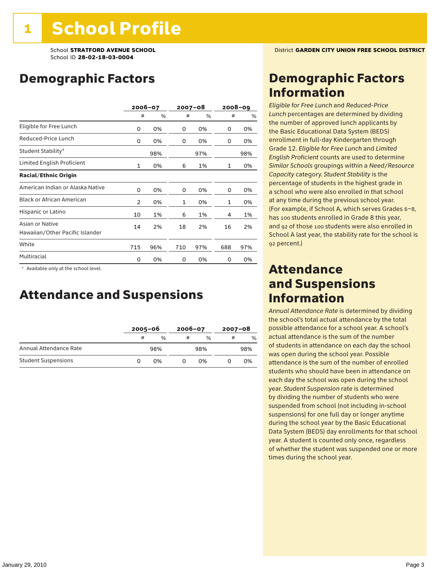### Demographic Factors

|                                                    |              | 2006-07 | 2007-08      |     | $2008 - 09$ |     |
|----------------------------------------------------|--------------|---------|--------------|-----|-------------|-----|
|                                                    | #            | %       | #            | %   | #           | %   |
| Eligible for Free Lunch                            | 0            | 0%      | 0            | 0%  | 0           | 0%  |
| Reduced-Price Lunch                                | 0            | 0%      | 0            | 0%  | 0           | 0%  |
| Student Stability*                                 |              | 98%     |              | 97% |             | 98% |
| Limited English Proficient                         | $\mathbf{1}$ | 0%      | 6            | 1%  | 1           | 0%  |
| <b>Racial/Ethnic Origin</b>                        |              |         |              |     |             |     |
| American Indian or Alaska Native                   | 0            | 0%      | 0            | 0%  | 0           | 0%  |
| <b>Black or African American</b>                   | 2            | 0%      | $\mathbf{1}$ | 0%  | 1           | 0%  |
| Hispanic or Latino                                 | 10           | 1%      | 6            | 1%  | 4           | 1%  |
| Asian or Native<br>Hawaiian/Other Pacific Islander | 14           | 2%      | 18           | 2%  | 16          | 2%  |
| White                                              | 715          | 96%     | 710          | 97% | 688         | 97% |
| Multiracial                                        | 0            | 0%      | 0            | 0%  | 0           | 0%  |

\* Available only at the school level.

### Attendance and Suspensions

|                            |   | $2005 - 06$ |   | $2006 - 07$   |   | $2007 - 08$   |  |
|----------------------------|---|-------------|---|---------------|---|---------------|--|
|                            | # | $\%$        | # | $\frac{0}{6}$ | # | $\frac{0}{6}$ |  |
| Annual Attendance Rate     |   | 98%         |   | 98%           |   | 98%           |  |
| <b>Student Suspensions</b> |   | በ%          |   | በ%            |   | 0%            |  |

### Demographic Factors Information

*Eligible for Free Lunch* and *Reduced*-*Price Lunch* percentages are determined by dividing the number of approved lunch applicants by the Basic Educational Data System (BEDS) enrollment in full-day Kindergarten through Grade 12. *Eligible for Free Lunch* and *Limited English Proficient* counts are used to determine *Similar Schools* groupings within a *Need*/*Resource Capacity* category. *Student Stability* is the percentage of students in the highest grade in a school who were also enrolled in that school at any time during the previous school year. (For example, if School A, which serves Grades 6–8, has 100 students enrolled in Grade 8 this year, and 92 of those 100 students were also enrolled in School A last year, the stability rate for the school is 92 percent.)

### Attendance and Suspensions Information

*Annual Attendance Rate* is determined by dividing the school's total actual attendance by the total possible attendance for a school year. A school's actual attendance is the sum of the number of students in attendance on each day the school was open during the school year. Possible attendance is the sum of the number of enrolled students who should have been in attendance on each day the school was open during the school year. *Student Suspension* rate is determined by dividing the number of students who were suspended from school (not including in-school suspensions) for one full day or longer anytime during the school year by the Basic Educational Data System (BEDS) day enrollments for that school year. A student is counted only once, regardless of whether the student was suspended one or more times during the school year.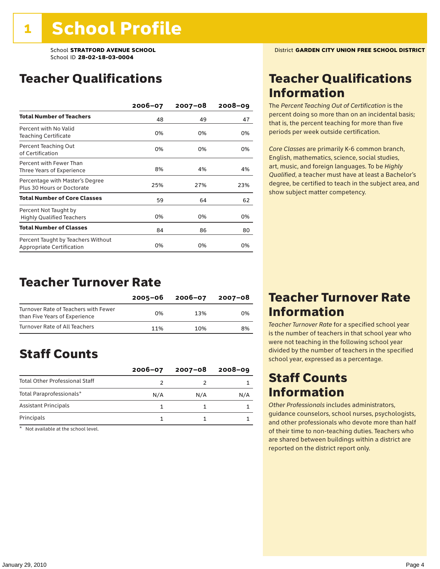### Teacher Qualifications

|                                                                 | 2006-07 | 2007-08 | $2008 - 09$ |
|-----------------------------------------------------------------|---------|---------|-------------|
| <b>Total Number of Teachers</b>                                 | 48      | 49      | 47          |
| Percent with No Valid<br><b>Teaching Certificate</b>            | 0%      | 0%      | 0%          |
| Percent Teaching Out<br>of Certification                        | 0%      | 0%      | 0%          |
| Percent with Fewer Than<br>Three Years of Experience            | 8%      | 4%      | 4%          |
| Percentage with Master's Degree<br>Plus 30 Hours or Doctorate   | 25%     | 27%     | 23%         |
| <b>Total Number of Core Classes</b>                             | 59      | 64      | 62          |
| Percent Not Taught by<br><b>Highly Qualified Teachers</b>       | 0%      | 0%      | 0%          |
| <b>Total Number of Classes</b>                                  | 84      | 86      | 80          |
| Percent Taught by Teachers Without<br>Appropriate Certification | 0%      | 0%      | 0%          |

### Teacher Turnover Rate

|                                                                       | 2005-06 | 2006-07 | 2007-08 |
|-----------------------------------------------------------------------|---------|---------|---------|
| Turnover Rate of Teachers with Fewer<br>than Five Years of Experience | በ%      | 13%     | 0%      |
| Turnover Rate of All Teachers                                         | 11%     | 10%     | 8%      |

### Staff Counts

|                                       | $2006 - 07$ | $2007 - 08$ | $2008 - 09$ |
|---------------------------------------|-------------|-------------|-------------|
| <b>Total Other Professional Staff</b> |             |             |             |
| Total Paraprofessionals*              | N/A         | N/A         | N/A         |
| <b>Assistant Principals</b>           |             |             |             |
| Principals                            |             |             |             |

\* Not available at the school level.

### Teacher Qualifications Information

The *Percent Teaching Out of Certification* is the percent doing so more than on an incidental basis; that is, the percent teaching for more than five periods per week outside certification.

*Core Classes* are primarily K-6 common branch, English, mathematics, science, social studies, art, music, and foreign languages. To be *Highly Qualified*, a teacher must have at least a Bachelor's degree, be certified to teach in the subject area, and show subject matter competency.

### Teacher Turnover Rate Information

*Teacher Turnover Rate* for a specified school year is the number of teachers in that school year who were not teaching in the following school year divided by the number of teachers in the specified school year, expressed as a percentage.

### Staff Counts **Information**

*Other Professionals* includes administrators, guidance counselors, school nurses, psychologists, and other professionals who devote more than half of their time to non-teaching duties. Teachers who are shared between buildings within a district are reported on the district report only.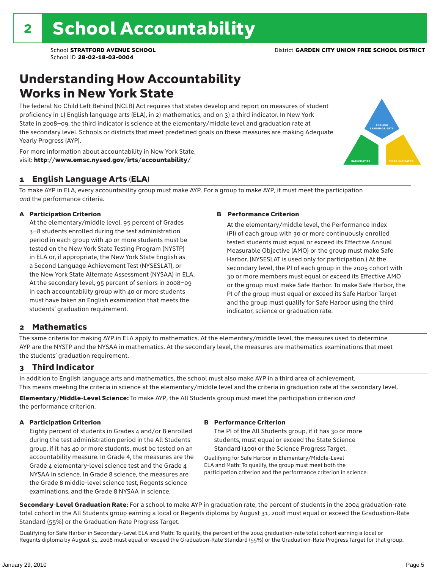### Understanding How Accountability Works in New York State

The federal No Child Left Behind (NCLB) Act requires that states develop and report on measures of student proficiency in 1) English language arts (ELA), in 2) mathematics, and on 3) a third indicator. In New York State in 2008–09, the third indicator is science at the elementary/middle level and graduation rate at the secondary level. Schools or districts that meet predefined goals on these measures are making Adequate Yearly Progress (AYP).



For more information about accountability in New York State, visit: http://www.emsc.nysed.gov/irts/accountability/

#### 1 English Language Arts (ELA)

To make AYP in ELA, every accountability group must make AYP. For a group to make AYP, it must meet the participation *and* the performance criteria.

#### A Participation Criterion

At the elementary/middle level, 95 percent of Grades 3–8 students enrolled during the test administration period in each group with 40 or more students must be tested on the New York State Testing Program (NYSTP) in ELA or, if appropriate, the New York State English as a Second Language Achievement Test (NYSESLAT), or the New York State Alternate Assessment (NYSAA) in ELA. At the secondary level, 95 percent of seniors in 2008–09 in each accountability group with 40 or more students must have taken an English examination that meets the students' graduation requirement.

#### B Performance Criterion

At the elementary/middle level, the Performance Index (PI) of each group with 30 or more continuously enrolled tested students must equal or exceed its Effective Annual Measurable Objective (AMO) or the group must make Safe Harbor. (NYSESLAT is used only for participation.) At the secondary level, the PI of each group in the 2005 cohort with 30 or more members must equal or exceed its Effective AMO or the group must make Safe Harbor. To make Safe Harbor, the PI of the group must equal or exceed its Safe Harbor Target and the group must qualify for Safe Harbor using the third indicator, science or graduation rate.

#### 2 Mathematics

The same criteria for making AYP in ELA apply to mathematics. At the elementary/middle level, the measures used to determine AYP are the NYSTP and the NYSAA in mathematics. At the secondary level, the measures are mathematics examinations that meet the students' graduation requirement.

#### 3 Third Indicator

In addition to English language arts and mathematics, the school must also make AYP in a third area of achievement. This means meeting the criteria in science at the elementary/middle level and the criteria in graduation rate at the secondary level.

Elementary/Middle-Level Science: To make AYP, the All Students group must meet the participation criterion *and* the performance criterion.

#### A Participation Criterion

Eighty percent of students in Grades 4 and/or 8 enrolled during the test administration period in the All Students group, if it has 40 or more students, must be tested on an accountability measure. In Grade 4, the measures are the Grade 4 elementary-level science test and the Grade 4 NYSAA in science. In Grade 8 science, the measures are the Grade 8 middle-level science test, Regents science examinations, and the Grade 8 NYSAA in science.

#### B Performance Criterion

The PI of the All Students group, if it has 30 or more students, must equal or exceed the State Science Standard (100) or the Science Progress Target.

Qualifying for Safe Harbor in Elementary/Middle-Level ELA and Math: To qualify, the group must meet both the participation criterion and the performance criterion in science.

Secondary-Level Graduation Rate: For a school to make AYP in graduation rate, the percent of students in the 2004 graduation-rate total cohort in the All Students group earning a local or Regents diploma by August 31, 2008 must equal or exceed the Graduation-Rate Standard (55%) or the Graduation-Rate Progress Target.

Qualifying for Safe Harbor in Secondary-Level ELA and Math: To qualify, the percent of the 2004 graduation-rate total cohort earning a local or Regents diploma by August 31, 2008 must equal or exceed the Graduation-Rate Standard (55%) or the Graduation-Rate Progress Target for that group.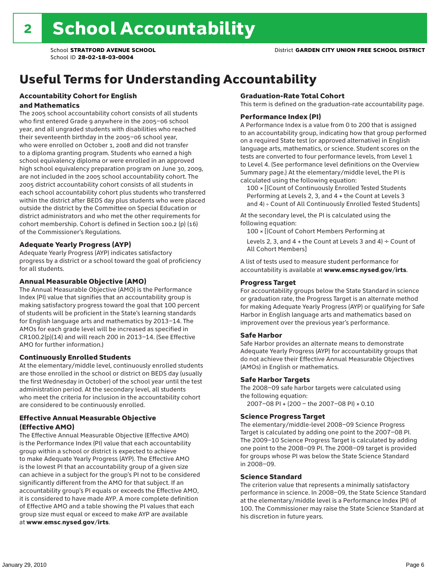# Useful Terms for Understanding Accountability

#### Accountability Cohort for English and Mathematics

The 2005 school accountability cohort consists of all students who first entered Grade 9 anywhere in the 2005–06 school year, and all ungraded students with disabilities who reached their seventeenth birthday in the 2005–06 school year, who were enrolled on October 1, 2008 and did not transfer to a diploma granting program. Students who earned a high school equivalency diploma or were enrolled in an approved high school equivalency preparation program on June 30, 2009, are not included in the 2005 school accountability cohort. The 2005 district accountability cohort consists of all students in each school accountability cohort plus students who transferred within the district after BEDS day plus students who were placed outside the district by the Committee on Special Education or district administrators and who met the other requirements for cohort membership. Cohort is defined in Section 100.2 (p) (16) of the Commissioner's Regulations.

#### Adequate Yearly Progress (AYP)

Adequate Yearly Progress (AYP) indicates satisfactory progress by a district or a school toward the goal of proficiency for all students.

#### Annual Measurable Objective (AMO)

The Annual Measurable Objective (AMO) is the Performance Index (PI) value that signifies that an accountability group is making satisfactory progress toward the goal that 100 percent of students will be proficient in the State's learning standards for English language arts and mathematics by 2013–14. The AMOs for each grade level will be increased as specified in CR100.2(p)(14) and will reach 200 in 2013–14. (See Effective AMO for further information.)

#### Continuously Enrolled Students

At the elementary/middle level, continuously enrolled students are those enrolled in the school or district on BEDS day (usually the first Wednesday in October) of the school year until the test administration period. At the secondary level, all students who meet the criteria for inclusion in the accountability cohort are considered to be continuously enrolled.

#### Effective Annual Measurable Objective (Effective AMO)

The Effective Annual Measurable Objective (Effective AMO) is the Performance Index (PI) value that each accountability group within a school or district is expected to achieve to make Adequate Yearly Progress (AYP). The Effective AMO is the lowest PI that an accountability group of a given size can achieve in a subject for the group's PI not to be considered significantly different from the AMO for that subject. If an accountability group's PI equals or exceeds the Effective AMO, it is considered to have made AYP. A more complete definition of Effective AMO and a table showing the PI values that each group size must equal or exceed to make AYP are available at www.emsc.nysed.gov/irts.

#### Graduation-Rate Total Cohort

This term is defined on the graduation-rate accountability page.

#### Performance Index (PI)

A Performance Index is a value from 0 to 200 that is assigned to an accountability group, indicating how that group performed on a required State test (or approved alternative) in English language arts, mathematics, or science. Student scores on the tests are converted to four performance levels, from Level 1 to Level 4. (See performance level definitions on the Overview Summary page.) At the elementary/middle level, the PI is calculated using the following equation:

100 × [(Count of Continuously Enrolled Tested Students Performing at Levels 2, 3, and 4 + the Count at Levels 3 and 4) ÷ Count of All Continuously Enrolled Tested Students]

At the secondary level, the PI is calculated using the following equation:

100 × [(Count of Cohort Members Performing at

Levels 2, 3, and 4 + the Count at Levels 3 and 4)  $\div$  Count of All Cohort Members]

A list of tests used to measure student performance for accountability is available at www.emsc.nysed.gov/irts.

#### Progress Target

For accountability groups below the State Standard in science or graduation rate, the Progress Target is an alternate method for making Adequate Yearly Progress (AYP) or qualifying for Safe Harbor in English language arts and mathematics based on improvement over the previous year's performance.

#### Safe Harbor

Safe Harbor provides an alternate means to demonstrate Adequate Yearly Progress (AYP) for accountability groups that do not achieve their Effective Annual Measurable Objectives (AMOs) in English or mathematics.

#### Safe Harbor Targets

The 2008–09 safe harbor targets were calculated using the following equation:

2007–08 PI + (200 – the 2007–08 PI) × 0.10

#### Science Progress Target

The elementary/middle-level 2008–09 Science Progress Target is calculated by adding one point to the 2007–08 PI. The 2009–10 Science Progress Target is calculated by adding one point to the 2008–09 PI. The 2008–09 target is provided for groups whose PI was below the State Science Standard in 2008–09.

#### Science Standard

The criterion value that represents a minimally satisfactory performance in science. In 2008–09, the State Science Standard at the elementary/middle level is a Performance Index (PI) of 100. The Commissioner may raise the State Science Standard at his discretion in future years.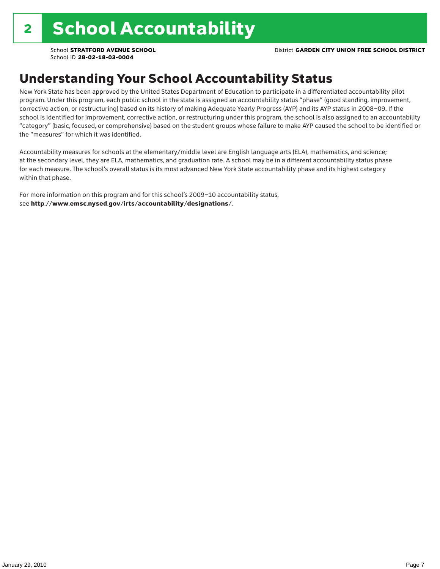### Understanding Your School Accountability Status

New York State has been approved by the United States Department of Education to participate in a differentiated accountability pilot program. Under this program, each public school in the state is assigned an accountability status "phase" (good standing, improvement, corrective action, or restructuring) based on its history of making Adequate Yearly Progress (AYP) and its AYP status in 2008–09. If the school is identified for improvement, corrective action, or restructuring under this program, the school is also assigned to an accountability "category" (basic, focused, or comprehensive) based on the student groups whose failure to make AYP caused the school to be identified or the "measures" for which it was identified.

Accountability measures for schools at the elementary/middle level are English language arts (ELA), mathematics, and science; at the secondary level, they are ELA, mathematics, and graduation rate. A school may be in a different accountability status phase for each measure. The school's overall status is its most advanced New York State accountability phase and its highest category within that phase.

For more information on this program and for this school's 2009–10 accountability status, see http://www.emsc.nysed.gov/irts/accountability/designations/.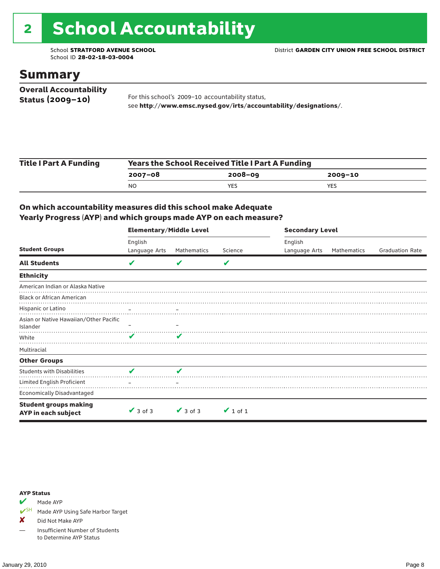# 2 School Accountability

School ID **28-02-18-03-0004**

### Summary

| <b>Overall Accountability</b> |                                                                  |
|-------------------------------|------------------------------------------------------------------|
| Status $(2009 - 10)$          | For this school's 2009-10 accountability status,                 |
|                               | see http://www.emsc.nysed.gov/irts/accountability/designations/. |

| <b>Title I Part A Funding</b> | <b>Years the School Received Title I Part A Funding</b> |             |         |  |  |  |
|-------------------------------|---------------------------------------------------------|-------------|---------|--|--|--|
|                               | 2007-08                                                 | $2008 - 09$ | 2009-10 |  |  |  |
|                               | N <sub>O</sub>                                          | YES.        | YES     |  |  |  |

#### On which accountability measures did this school make Adequate Yearly Progress (AYP) and which groups made AYP on each measure?

|                                                     | <b>Elementary/Middle Level</b> |               |               |               | <b>Secondary Level</b> |                        |  |  |
|-----------------------------------------------------|--------------------------------|---------------|---------------|---------------|------------------------|------------------------|--|--|
|                                                     | English                        |               |               | English       |                        |                        |  |  |
| <b>Student Groups</b>                               | Language Arts                  | Mathematics   | Science       | Language Arts | Mathematics            | <b>Graduation Rate</b> |  |  |
| <b>All Students</b>                                 | V                              | V             | V             |               |                        |                        |  |  |
| <b>Ethnicity</b>                                    |                                |               |               |               |                        |                        |  |  |
| American Indian or Alaska Native                    |                                |               |               |               |                        |                        |  |  |
| <b>Black or African American</b>                    |                                |               |               |               |                        |                        |  |  |
| Hispanic or Latino                                  |                                |               |               |               |                        |                        |  |  |
| Asian or Native Hawaiian/Other Pacific              |                                |               |               |               |                        |                        |  |  |
| Islander                                            |                                |               |               |               |                        |                        |  |  |
| White                                               |                                | v             |               |               |                        |                        |  |  |
| Multiracial                                         |                                |               |               |               |                        |                        |  |  |
| <b>Other Groups</b>                                 |                                |               |               |               |                        |                        |  |  |
| <b>Students with Disabilities</b>                   | V                              | ✔             |               |               |                        |                        |  |  |
| Limited English Proficient                          |                                |               |               |               |                        |                        |  |  |
| <b>Economically Disadvantaged</b>                   |                                |               |               |               |                        |                        |  |  |
| <b>Student groups making</b><br>AYP in each subject | $\vee$ 3 of 3                  | $\vee$ 3 of 3 | $\vee$ 1 of 1 |               |                        |                        |  |  |

#### AYP Status

 $M$  Made AYP

✔SH Made AYP Using Safe Harbor Target

✘ Did Not Make AYP

— Insufficient Number of Students to Determine AYP Status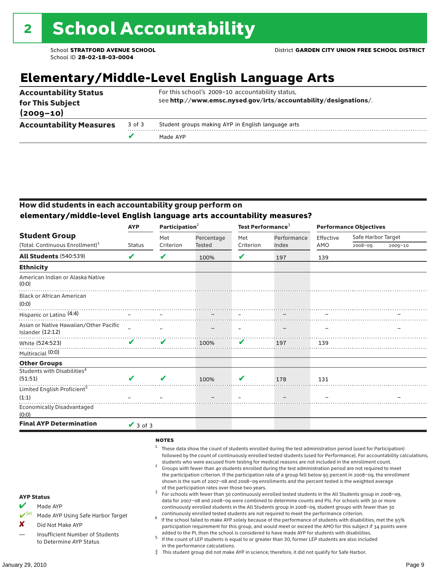## **Elementary/Middle-Level English Language Arts**

| <b>Accountability Status</b><br>for This Subject<br>$(2009 - 10)$ |        | For this school's 2009-10 accountability status,<br>see http://www.emsc.nysed.gov/irts/accountability/designations/. |
|-------------------------------------------------------------------|--------|----------------------------------------------------------------------------------------------------------------------|
| <b>Accountability Measures</b>                                    | 3 of 3 | Student groups making AYP in English language arts                                                                   |
|                                                                   |        | Made AYP                                                                                                             |

#### How did students in each accountability group perform on **elementary/middle-level English language arts accountability measures?**

|                                                            | <b>AYP</b>      | Participation <sup>2</sup> | Test Performance <sup>3</sup> |           |             |           | <b>Performance Objectives</b> |             |
|------------------------------------------------------------|-----------------|----------------------------|-------------------------------|-----------|-------------|-----------|-------------------------------|-------------|
| <b>Student Group</b>                                       |                 | Met                        | Percentage                    | Met       | Performance | Effective | Safe Harbor Target            |             |
| (Total: Continuous Enrollment) <sup>1</sup>                | <b>Status</b>   | Criterion                  | <b>Tested</b>                 | Criterion | Index       | AMO       | 2008-09                       | $2009 - 10$ |
| <b>All Students (540:539)</b>                              | ✔               | V                          | 100%                          | V         | 197         | 139       |                               |             |
| <b>Ethnicity</b>                                           |                 |                            |                               |           |             |           |                               |             |
| American Indian or Alaska Native<br>(0:0)                  |                 |                            |                               |           |             |           |                               |             |
| <b>Black or African American</b><br>(0:0)                  |                 |                            |                               |           |             |           |                               |             |
| Hispanic or Latino <sup>(4:4)</sup>                        |                 |                            |                               |           |             |           |                               |             |
| Asian or Native Hawaiian/Other Pacific<br>Islander (12:12) |                 |                            |                               |           |             |           |                               |             |
| White (524:523)                                            | ✔               | V                          | 100%                          | V         | 197         | 139       |                               |             |
| Multiracial (0:0)                                          |                 |                            |                               |           |             |           |                               |             |
| <b>Other Groups</b>                                        |                 |                            |                               |           |             |           |                               |             |
| Students with Disabilities <sup>4</sup><br>(51:51)         |                 | ✔                          | 100%                          | V         | 178         | 131       |                               |             |
| Limited English Proficient <sup>5</sup>                    |                 |                            |                               |           |             |           |                               |             |
| (1:1)                                                      |                 |                            |                               |           |             |           |                               |             |
| <b>Economically Disadvantaged</b><br>(0:0)                 |                 |                            |                               |           |             |           |                               |             |
| <b>Final AYP Determination</b>                             | $\sqrt{3}$ of 3 |                            |                               |           |             |           |                               |             |

#### **NOTES**

- <sup>1</sup> These data show the count of students enrolled during the test administration period (used for Participation) followed by the count of continuously enrolled tested students (used for Performance). For accountability calculations,
- students who were excused from testing for medical reasons are not included in the enrollment count. <sup>2</sup> Groups with fewer than 40 students enrolled during the test administration period are not required to meet the participation criterion. If the participation rate of a group fell below 95 percent in 2008–09, the enrollment shown is the sum of 2007–08 and 2008–09 enrollments and the percent tested is the weighted average
- of the participation rates over those two years.<br><sup>3</sup> For schools with fewer than 30 continuously enrolled tested students in the All Students group in 2008–09, data for 2007–08 and 2008–09 were combined to determine counts and PIs. For schools with 30 or more continuously enrolled students in the All Students group in 2008–09, student groups with fewer than 30
- continuously enrolled tested students are not required to meet the performance criterion. <sup>4</sup> If the school failed to make AYP solely because of the performance of students with disabilities, met the 95% participation requirement for this group, and would meet or exceed the AMO for this subject if 34 points were added to the PI, then the school is considered to have made AYP for students with disabilities.
- $5$  If the count of LEP students is equal to or greater than 30, former LEP students are also included in the performance calculations.
- ‡ This student group did not make AYP in science; therefore, it did not qualify for Safe Harbor.
- Made AYP Using Safe Harbor Target
- X Did Not Make AYP
- Insufficient Number of Students to Determine AYP Status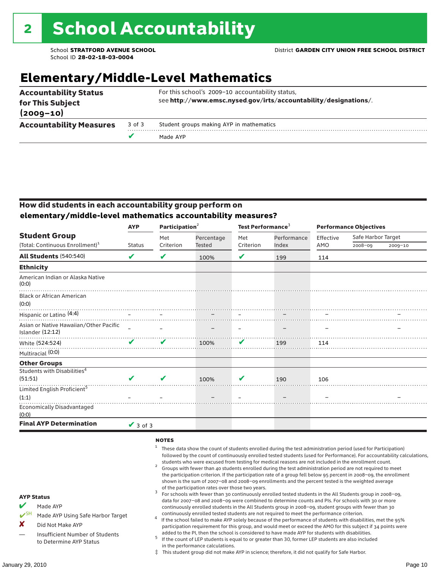# **Elementary/Middle-Level Mathematics**

| for This Subject               |        | see http://www.emsc.nysed.gov/irts/accountability/designations/. |
|--------------------------------|--------|------------------------------------------------------------------|
| $(2009 - 10)$                  |        |                                                                  |
| <b>Accountability Measures</b> | 3 of 3 | Student groups making AYP in mathematics                         |
|                                |        | Made AYP                                                         |

#### How did students in each accountability group perform on **elementary/middle-level mathematics accountability measures?**

|                                                            | <b>AYP</b>    |           | Participation <sup>2</sup> |           | Test Performance <sup>3</sup> | <b>Performance Objectives</b> |                    |             |  |
|------------------------------------------------------------|---------------|-----------|----------------------------|-----------|-------------------------------|-------------------------------|--------------------|-------------|--|
| <b>Student Group</b>                                       |               | Met       | Percentage                 | Met       | Performance                   | Effective                     | Safe Harbor Target |             |  |
| (Total: Continuous Enrollment) <sup>1</sup>                | <b>Status</b> | Criterion | Tested                     | Criterion | Index                         | AMO                           | $2008 - 09$        | $2009 - 10$ |  |
| <b>All Students (540:540)</b>                              | V             | V         | 100%                       | V         | 199                           | 114                           |                    |             |  |
| <b>Ethnicity</b>                                           |               |           |                            |           |                               |                               |                    |             |  |
| American Indian or Alaska Native<br>(0:0)                  |               |           |                            |           |                               |                               |                    |             |  |
| <b>Black or African American</b><br>(0:0)                  |               |           |                            |           |                               |                               |                    |             |  |
| Hispanic or Latino <sup>(4:4)</sup>                        |               |           |                            |           |                               |                               |                    |             |  |
| Asian or Native Hawaiian/Other Pacific<br>Islander (12:12) |               |           |                            |           |                               |                               |                    |             |  |
| White (524:524)                                            | ✔             | ✔         | 100%                       | V         | 199                           | 114                           |                    |             |  |
| Multiracial (0:0)                                          |               |           |                            |           |                               |                               |                    |             |  |
| <b>Other Groups</b>                                        |               |           |                            |           |                               |                               |                    |             |  |
| Students with Disabilities <sup>4</sup>                    |               |           |                            |           |                               |                               |                    |             |  |
| (51:51)                                                    |               | V         | 100%                       | V         | 190                           | 106                           |                    |             |  |
| Limited English Proficient <sup>5</sup>                    |               |           |                            |           |                               |                               |                    |             |  |
| (1:1)                                                      |               |           |                            |           |                               |                               |                    |             |  |
| <b>Economically Disadvantaged</b><br>(0:0)                 |               |           |                            |           |                               |                               |                    |             |  |
| <b>Final AYP Determination</b>                             | $\vee$ 3 of 3 |           |                            |           |                               |                               |                    |             |  |

#### **NOTES**

- $1$  These data show the count of students enrolled during the test administration period (used for Participation) followed by the count of continuously enrolled tested students (used for Performance). For accountability calculations,
- students who were excused from testing for medical reasons are not included in the enrollment count. <sup>2</sup> Groups with fewer than 40 students enrolled during the test administration period are not required to meet the participation criterion. If the participation rate of a group fell below 95 percent in 2008–09, the enrollment shown is the sum of 2007–08 and 2008–09 enrollments and the percent tested is the weighted average
- of the participation rates over those two years.<br><sup>3</sup> For schools with fewer than 30 continuously enrolled tested students in the All Students group in 2008–09, data for 2007–08 and 2008–09 were combined to determine counts and PIs. For schools with 30 or more continuously enrolled students in the All Students group in 2008–09, student groups with fewer than 30
- continuously enrolled tested students are not required to meet the performance criterion. <sup>4</sup> If the school failed to make AYP solely because of the performance of students with disabilities, met the 95% participation requirement for this group, and would meet or exceed the AMO for this subject if 34 points were added to the PI, then the school is considered to have made AYP for students with disabilities.
- $5$  If the count of LEP students is equal to or greater than 30, former LEP students are also included in the performance calculations.
- ‡ This student group did not make AYP in science; therefore, it did not qualify for Safe Harbor.

AYP Status Made AYP

X Did Not Make AYP

Made AYP Using Safe Harbor Target

Insufficient Number of Students to Determine AYP Status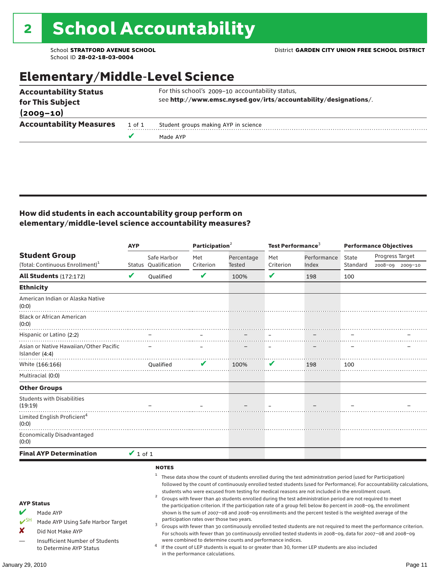### Elementary/Middle-Level Science

|                                |        | Made AYP                                                         |
|--------------------------------|--------|------------------------------------------------------------------|
| <b>Accountability Measures</b> | 1 of 1 | Student groups making AYP in science                             |
| $(2009 - 10)$                  |        |                                                                  |
| for This Subject               |        | see http://www.emsc.nysed.gov/irts/accountability/designations/. |
| <b>Accountability Status</b>   |        | For this school's 2009-10 accountability status,                 |

#### How did students in each accountability group perform on elementary/middle-level science accountability measures?

|                                                                                                                                                                                   | <b>AYP</b>    |                             | Participation <sup>2</sup>                                                    |                                                            | Test Performance <sup>3</sup> |                                                                                                                                                                                                                                                                                                                                                                                                                                                                                                                                                                                                                                                                                                                                                                                                                                                                                                                                                                                                                                                 | <b>Performance Objectives</b> |                 |             |
|-----------------------------------------------------------------------------------------------------------------------------------------------------------------------------------|---------------|-----------------------------|-------------------------------------------------------------------------------|------------------------------------------------------------|-------------------------------|-------------------------------------------------------------------------------------------------------------------------------------------------------------------------------------------------------------------------------------------------------------------------------------------------------------------------------------------------------------------------------------------------------------------------------------------------------------------------------------------------------------------------------------------------------------------------------------------------------------------------------------------------------------------------------------------------------------------------------------------------------------------------------------------------------------------------------------------------------------------------------------------------------------------------------------------------------------------------------------------------------------------------------------------------|-------------------------------|-----------------|-------------|
| <b>Student Group</b>                                                                                                                                                              |               | Safe Harbor                 | Met                                                                           | Percentage                                                 | Met                           | Performance                                                                                                                                                                                                                                                                                                                                                                                                                                                                                                                                                                                                                                                                                                                                                                                                                                                                                                                                                                                                                                     | State                         | Progress Target |             |
| (Total: Continuous Enrollment) <sup>1</sup>                                                                                                                                       |               | <b>Status Oualification</b> | Criterion                                                                     | <b>Tested</b>                                              | Criterion                     | Index                                                                                                                                                                                                                                                                                                                                                                                                                                                                                                                                                                                                                                                                                                                                                                                                                                                                                                                                                                                                                                           | Standard                      | 2008-09         | $2009 - 10$ |
| <b>All Students (172:172)</b>                                                                                                                                                     | V             | Qualified                   | V                                                                             | 100%                                                       | V                             | 198                                                                                                                                                                                                                                                                                                                                                                                                                                                                                                                                                                                                                                                                                                                                                                                                                                                                                                                                                                                                                                             | 100                           |                 |             |
| <b>Ethnicity</b>                                                                                                                                                                  |               |                             |                                                                               |                                                            |                               |                                                                                                                                                                                                                                                                                                                                                                                                                                                                                                                                                                                                                                                                                                                                                                                                                                                                                                                                                                                                                                                 |                               |                 |             |
| American Indian or Alaska Native<br>(0:0)                                                                                                                                         |               |                             |                                                                               |                                                            |                               |                                                                                                                                                                                                                                                                                                                                                                                                                                                                                                                                                                                                                                                                                                                                                                                                                                                                                                                                                                                                                                                 |                               |                 |             |
| <b>Black or African American</b><br>(0:0)                                                                                                                                         |               |                             |                                                                               |                                                            |                               |                                                                                                                                                                                                                                                                                                                                                                                                                                                                                                                                                                                                                                                                                                                                                                                                                                                                                                                                                                                                                                                 |                               |                 |             |
| Hispanic or Latino (2:2)                                                                                                                                                          |               |                             |                                                                               |                                                            |                               |                                                                                                                                                                                                                                                                                                                                                                                                                                                                                                                                                                                                                                                                                                                                                                                                                                                                                                                                                                                                                                                 |                               |                 |             |
| Asian or Native Hawaiian/Other Pacific<br>Islander (4:4)                                                                                                                          |               |                             |                                                                               |                                                            |                               |                                                                                                                                                                                                                                                                                                                                                                                                                                                                                                                                                                                                                                                                                                                                                                                                                                                                                                                                                                                                                                                 |                               |                 |             |
| White (166:166)                                                                                                                                                                   |               | <b>Oualified</b>            |                                                                               | 100%                                                       | V                             | 198                                                                                                                                                                                                                                                                                                                                                                                                                                                                                                                                                                                                                                                                                                                                                                                                                                                                                                                                                                                                                                             | 100                           |                 |             |
| Multiracial (0:0)                                                                                                                                                                 |               |                             |                                                                               |                                                            |                               |                                                                                                                                                                                                                                                                                                                                                                                                                                                                                                                                                                                                                                                                                                                                                                                                                                                                                                                                                                                                                                                 |                               |                 |             |
| <b>Other Groups</b>                                                                                                                                                               |               |                             |                                                                               |                                                            |                               |                                                                                                                                                                                                                                                                                                                                                                                                                                                                                                                                                                                                                                                                                                                                                                                                                                                                                                                                                                                                                                                 |                               |                 |             |
| <b>Students with Disabilities</b><br>(19:19)                                                                                                                                      |               |                             |                                                                               |                                                            |                               |                                                                                                                                                                                                                                                                                                                                                                                                                                                                                                                                                                                                                                                                                                                                                                                                                                                                                                                                                                                                                                                 |                               |                 |             |
| Limited English Proficient <sup>4</sup><br>(0:0)                                                                                                                                  |               |                             |                                                                               |                                                            |                               |                                                                                                                                                                                                                                                                                                                                                                                                                                                                                                                                                                                                                                                                                                                                                                                                                                                                                                                                                                                                                                                 |                               |                 |             |
| <b>Economically Disadvantaged</b><br>(0:0)                                                                                                                                        |               |                             |                                                                               |                                                            |                               |                                                                                                                                                                                                                                                                                                                                                                                                                                                                                                                                                                                                                                                                                                                                                                                                                                                                                                                                                                                                                                                 |                               |                 |             |
| <b>Final AYP Determination</b>                                                                                                                                                    | $\vee$ 1 of 1 |                             |                                                                               |                                                            |                               |                                                                                                                                                                                                                                                                                                                                                                                                                                                                                                                                                                                                                                                                                                                                                                                                                                                                                                                                                                                                                                                 |                               |                 |             |
| <b>AYP Status</b><br>V<br>Made AYP<br>$V^{\text{SH}}$<br>Made AYP Using Safe Harbor Target<br>x<br>Did Not Make AYP<br>Insufficient Number of Students<br>to Determine AYP Status |               | <b>NOTES</b><br>2           | participation rates over those two years.<br>in the performance calculations. | were combined to determine counts and performance indices. |                               | These data show the count of students enrolled during the test administration period (used for Participation)<br>followed by the count of continuously enrolled tested students (used for Performance). For accountability calculations,<br>students who were excused from testing for medical reasons are not included in the enrollment count.<br>Groups with fewer than 40 students enrolled during the test administration period are not required to meet<br>the participation criterion. If the participation rate of a group fell below 80 percent in 2008-09, the enrollment<br>shown is the sum of 2007-08 and 2008-09 enrollments and the percent tested is the weighted average of the<br>Groups with fewer than 30 continuously enrolled tested students are not required to meet the performance criterion.<br>For schools with fewer than 30 continuously enrolled tested students in 2008-09, data for 2007-08 and 2008-09<br>If the count of LEP students is equal to or greater than 30, former LEP students are also included |                               |                 |             |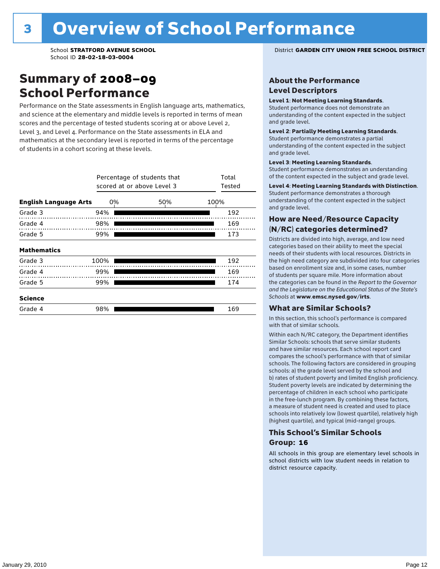### Summary of 2008–09 School Performance

Performance on the State assessments in English language arts, mathematics, and science at the elementary and middle levels is reported in terms of mean scores and the percentage of tested students scoring at or above Level 2, Level 3, and Level 4. Performance on the State assessments in ELA and mathematics at the secondary level is reported in terms of the percentage of students in a cohort scoring at these levels.

|                              | Percentage of students that<br>scored at or above Level 3 | Total<br>Tested |     |      |  |
|------------------------------|-----------------------------------------------------------|-----------------|-----|------|--|
| <b>English Language Arts</b> |                                                           | 0%              | 50% | 100% |  |
| Grade 3                      | 94%                                                       |                 |     | 192  |  |
| Grade 4                      | 98%                                                       |                 |     | 169  |  |
| Grade 5                      | 99%                                                       |                 |     | 173  |  |
| <b>Mathematics</b>           |                                                           |                 |     |      |  |
| Grade 3                      | 100%                                                      |                 |     | 192  |  |
| Grade 4                      | 99%                                                       |                 |     | 169  |  |
| Grade 5                      | 99%                                                       |                 |     | 174  |  |
| <b>Science</b>               |                                                           |                 |     |      |  |
| Grade 4                      | 98%                                                       |                 |     | 169  |  |

School **STRATFORD AVENUE SCHOOL** District **GARDEN CITY UNION FREE SCHOOL DISTRICT**

#### About the Performance Level Descriptors

#### Level 1: Not Meeting Learning Standards.

Student performance does not demonstrate an understanding of the content expected in the subject and grade level.

#### Level 2: Partially Meeting Learning Standards.

Student performance demonstrates a partial understanding of the content expected in the subject and grade level.

#### Level 3: Meeting Learning Standards.

Student performance demonstrates an understanding of the content expected in the subject and grade level.

#### Level 4: Meeting Learning Standards with Distinction.

Student performance demonstrates a thorough understanding of the content expected in the subject and grade level.

#### How are Need/Resource Capacity (N/RC) categories determined?

Districts are divided into high, average, and low need categories based on their ability to meet the special needs of their students with local resources. Districts in the high need category are subdivided into four categories based on enrollment size and, in some cases, number of students per square mile. More information about the categories can be found in the *Report to the Governor and the Legislature on the Educational Status of the State's Schools* at www.emsc.nysed.gov/irts.

#### What are Similar Schools?

In this section, this school's performance is compared with that of similar schools.

Within each N/RC category, the Department identifies Similar Schools: schools that serve similar students and have similar resources. Each school report card compares the school's performance with that of similar schools. The following factors are considered in grouping schools: a) the grade level served by the school and b) rates of student poverty and limited English proficiency. Student poverty levels are indicated by determining the percentage of children in each school who participate in the free-lunch program. By combining these factors, a measure of student need is created and used to place schools into relatively low (lowest quartile), relatively high (highest quartile), and typical (mid-range) groups.

#### This School's Similar Schools Group: **16**

All schools in this group are elementary level schools in school districts with low student needs in relation to district resource capacity.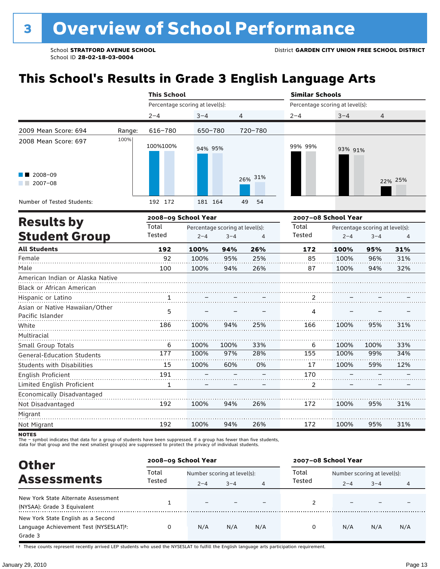# **This School's Results in Grade 3 English Language Arts**

|                                                    |        | <b>This School</b>              |         |                                 |                | <b>Similar Schools</b>          |      |                                                                                                                                              |                |
|----------------------------------------------------|--------|---------------------------------|---------|---------------------------------|----------------|---------------------------------|------|----------------------------------------------------------------------------------------------------------------------------------------------|----------------|
|                                                    |        | Percentage scoring at level(s): |         |                                 |                | Percentage scoring at level(s): |      | $3 - 4$<br>4<br>93% 91%<br>Percentage scoring at level(s):<br>$2 - 4$<br>$3 - 4$<br>100%<br>95%<br>100%<br>96%<br>100%<br>94%<br>100%<br>95% |                |
|                                                    |        | $2 - 4$                         | $3 - 4$ |                                 | 4              | $2 - 4$                         |      |                                                                                                                                              |                |
| 2009 Mean Score: 694                               | Range: | 616-780                         | 650-780 |                                 | 720-780        |                                 |      |                                                                                                                                              |                |
| 2008 Mean Score: 697                               | 100%   | 100%100%                        | 94% 95% |                                 |                | 99% 99%                         |      |                                                                                                                                              |                |
| 2008-09<br>$2007 - 08$                             |        |                                 |         |                                 | 26% 31%        |                                 |      |                                                                                                                                              | 22% 25%        |
| Number of Tested Students:                         |        | 192 172                         | 181 164 |                                 | 49<br>54       |                                 |      |                                                                                                                                              |                |
| <b>Results by</b>                                  |        | 2008-09 School Year             |         |                                 |                | 2007-08 School Year             |      |                                                                                                                                              |                |
|                                                    |        | Total                           |         | Percentage scoring at level(s): |                | Total                           |      |                                                                                                                                              |                |
| <b>Student Group</b>                               |        | Tested                          | $2 - 4$ | $3 - 4$                         | $\overline{4}$ | Tested                          |      |                                                                                                                                              | $\overline{4}$ |
| <b>All Students</b>                                |        | 192                             | 100%    | 94%                             | 26%            | 172                             |      |                                                                                                                                              | 31%            |
| Female                                             |        | 92                              | 100%    | 95%                             | 25%            | 85                              |      |                                                                                                                                              | 31%            |
| Male                                               |        | 100                             | 100%    | 94%                             | 26%            | 87                              |      |                                                                                                                                              | 32%            |
| American Indian or Alaska Native                   |        |                                 |         |                                 |                |                                 |      |                                                                                                                                              |                |
| Black or African American                          |        |                                 |         |                                 |                |                                 |      |                                                                                                                                              |                |
| Hispanic or Latino                                 |        | 1                               |         |                                 |                | 2                               |      |                                                                                                                                              |                |
| Asian or Native Hawaiian/Other<br>Pacific Islander |        | 5                               |         |                                 |                | 4                               |      |                                                                                                                                              |                |
| White                                              |        | 186                             | 100%    | 94%                             | 25%            | 166                             |      |                                                                                                                                              | 31%            |
| Multiracial                                        |        |                                 |         |                                 |                |                                 |      |                                                                                                                                              |                |
| Small Group Totals                                 |        | 6                               | 100%    | 100%                            | 33%            | 6                               | 100% | 100%                                                                                                                                         | 33%            |
| <b>General-Education Students</b>                  |        | 177                             | 100%    | 97%                             | 28%            | 155                             | 100% | 99%                                                                                                                                          | 34%            |
| <b>Students with Disabilities</b>                  |        | 15                              | 100%    | 60%                             | 0%             | 17                              | 100% | 59%                                                                                                                                          | 12%            |
| English Proficient                                 |        | 191                             |         |                                 |                | 170                             |      |                                                                                                                                              |                |
| Limited English Proficient                         |        | 1                               |         |                                 |                | 2                               |      |                                                                                                                                              |                |
| Economically Disadvantaged<br>Not Disadvantaged    |        | 192                             | 100%    | 94%                             | 26%            | 172                             | 100% | 95%                                                                                                                                          | 31%            |
| Migrant                                            |        |                                 |         |                                 |                |                                 |      |                                                                                                                                              |                |

**NOTES** 

Not Migrant

The – symbol indicates that data for a group of students have been suppressed. If a group has fewer than five students,<br>data for that group and the next smallest group(s) are suppressed to protect the privacy of individual

192

100%

| <b>Other</b>                                                                                         | 2008-09 School Year |                             |         |     | 2007-08 School Year |                             |         |     |  |
|------------------------------------------------------------------------------------------------------|---------------------|-----------------------------|---------|-----|---------------------|-----------------------------|---------|-----|--|
| <b>Assessments</b>                                                                                   | Total               | Number scoring at level(s): |         |     | Total               | Number scoring at level(s): |         |     |  |
|                                                                                                      | Tested              | $2 - 4$                     | $3 - 4$ | 4   | Tested              | $2 - 4$                     | $3 - 4$ | 4   |  |
| New York State Alternate Assessment<br>(NYSAA): Grade 3 Equivalent                                   |                     |                             |         |     |                     |                             |         |     |  |
| New York State English as a Second<br>Language Achievement Test (NYSESLAT) <sup>+</sup> :<br>Grade 3 |                     | N/A                         | N/A     | N/A | 0                   | N/A                         | N/A     | N/A |  |

94%

26%

172

100%

95%

31%

† These counts represent recently arrived LEP students who used the NYSESLAT to fulfill the English language arts participation requirement.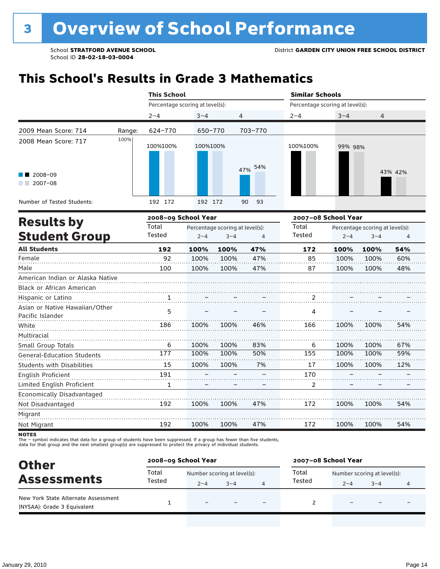# **This School's Results in Grade 3 Mathematics**

|                                                               |        | <b>This School</b>              |          |                                            |                | <b>Similar Schools</b>          |         |                                            |         |
|---------------------------------------------------------------|--------|---------------------------------|----------|--------------------------------------------|----------------|---------------------------------|---------|--------------------------------------------|---------|
|                                                               |        | Percentage scoring at level(s): |          |                                            |                | Percentage scoring at level(s): |         |                                            |         |
|                                                               |        | $2 - 4$                         | $3 - 4$  |                                            | 4              | $2 - 4$                         | $3 - 4$ | 4                                          |         |
| 2009 Mean Score: 714                                          | Range: | 624-770                         | 650-770  |                                            | 703-770        |                                 |         |                                            |         |
| 2008 Mean Score: 717                                          | 100%   | 100%100%                        | 100%100% |                                            |                | 100%100%                        | 99% 98% |                                            |         |
| 2008-09<br>$2007 - 08$                                        |        |                                 |          |                                            | 54%<br>47%     |                                 |         |                                            | 43% 42% |
| Number of Tested Students:                                    |        | 192 172                         | 192 172  |                                            | 93<br>90       |                                 |         |                                            |         |
| <b>Results by</b>                                             |        | 2008-09 School Year             |          |                                            |                | 2007-08 School Year             |         |                                            |         |
| <b>Student Group</b>                                          |        | Total<br>Tested                 | $2 - 4$  | Percentage scoring at level(s):<br>$3 - 4$ | $\overline{4}$ | Total<br>Tested                 | $2 - 4$ | Percentage scoring at level(s):<br>$3 - 4$ | 4       |
| <b>All Students</b>                                           |        | 192                             | 100%     | 100%                                       | 47%            | 172                             | 100%    | 100%                                       | 54%     |
| Female                                                        |        | 92                              | 100%     | 100%                                       | 47%            | 85                              | 100%    | 100%                                       | 60%     |
| Male                                                          |        | 100                             | 100%     | 100%                                       | 47%            | 87                              | 100%    | 100%                                       | 48%     |
| American Indian or Alaska Native<br>Black or African American |        |                                 |          |                                            |                |                                 |         |                                            |         |
| Hispanic or Latino                                            |        | $\frac{1}{\cdot}$               |          |                                            |                | 2                               |         |                                            |         |
| Asian or Native Hawaiian/Other<br>Pacific Islander            |        | 5                               |          |                                            |                | 4                               |         |                                            |         |
| White                                                         |        | 186                             | 100%     | 100%                                       | 46%            | 166                             | 100%    | 100%                                       | 54%     |
| Multiracial                                                   |        |                                 |          |                                            |                |                                 |         |                                            |         |
| Small Group Totals                                            |        | 6                               | 100%     | 100%                                       | 83%            | 6                               | 100%    | 100%                                       | 67%     |
| <b>General-Education Students</b>                             |        | 177                             | 100%     | 100%                                       | 50%            | 155                             | 100%    | 100%                                       | 59%     |
| <b>Students with Disabilities</b>                             |        | 15                              | 100%     | 100%                                       | 7%             | 17                              | 100%    | 100%                                       | 12%     |
| <b>English Proficient</b>                                     |        | 191                             |          |                                            |                | 170                             |         |                                            |         |
| Limited English Proficient                                    |        | $\mathbf{1}$                    |          |                                            |                | $\overline{2}$                  |         |                                            |         |
| Economically Disadvantaged                                    |        |                                 |          |                                            |                |                                 |         |                                            |         |
| Not Disadvantaged                                             |        | 192                             | 100%     | 100%                                       | 47%            | 172                             | 100%    | 100%                                       | 54%     |
| Migrant                                                       |        |                                 |          |                                            |                |                                 |         |                                            |         |
| Not Migrant                                                   |        | 192                             | 100%     | 100%                                       | 47%            | 172                             | 100%    | 100%                                       | 54%     |

**NOTES** 

| <b>Other</b>                                                       | 2008-09 School Year |                             |         |                          | 2007-08 School Year                  |                          |                          |  |  |
|--------------------------------------------------------------------|---------------------|-----------------------------|---------|--------------------------|--------------------------------------|--------------------------|--------------------------|--|--|
|                                                                    | Total               | Number scoring at level(s): |         |                          | Total<br>Number scoring at level(s): |                          |                          |  |  |
| <b>Assessments</b>                                                 | Tested              | $2 - 4$                     | $3 - 4$ | Tested                   | $2 - 4$                              | $3 - 4$                  | 4                        |  |  |
| New York State Alternate Assessment<br>(NYSAA): Grade 3 Equivalent |                     | $\overline{\phantom{0}}$    |         | $\overline{\phantom{0}}$ |                                      | $\overline{\phantom{0}}$ | $\overline{\phantom{0}}$ |  |  |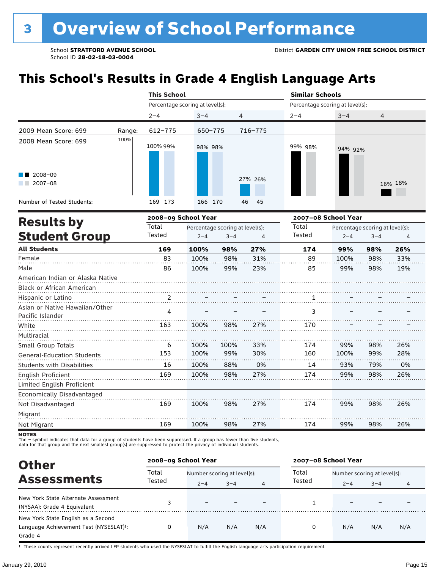# **This School's Results in Grade 4 English Language Arts**

|                                   |                     | <b>This School</b>              |         |                                 |          | <b>Similar Schools</b>          |                     |                                 |         |
|-----------------------------------|---------------------|---------------------------------|---------|---------------------------------|----------|---------------------------------|---------------------|---------------------------------|---------|
|                                   |                     | Percentage scoring at level(s): |         |                                 |          | Percentage scoring at level(s): |                     |                                 |         |
|                                   |                     | $2 - 4$                         | $3 - 4$ | 4                               |          | $2 - 4$                         | $3 - 4$             | 4                               |         |
| 2009 Mean Score: 699              | Range:              | 612-775                         | 650-775 |                                 | 716-775  |                                 |                     |                                 |         |
| 2008 Mean Score: 699              | 100%                | 100% 99%                        | 98% 98% |                                 |          | 99% 98%                         | 94% 92%             |                                 |         |
| 2008-09<br>$2007 - 08$            |                     |                                 |         |                                 | 27% 26%  |                                 |                     |                                 | 16% 18% |
| Number of Tested Students:        |                     | 169 173                         | 166 170 |                                 | 46<br>45 |                                 |                     |                                 |         |
| <b>Results by</b>                 | 2008-09 School Year |                                 |         |                                 |          |                                 | 2007-08 School Year |                                 |         |
|                                   |                     | Total                           |         | Percentage scoring at level(s): |          | Total                           |                     | Percentage scoring at level(s): |         |
| <b>Student Group</b>              |                     | Tested                          | $2 - 4$ | $3 - 4$                         | 4        | Tested                          | 4                   |                                 |         |
| <b>All Students</b>               |                     | 169                             | 100%    | 98%                             | 27%      | 174                             | 99%                 | 98%                             | 26%     |
| Female                            |                     | 83                              | 100%    | 98%                             | 31%      | 89                              | 100%                | 98%                             | 33%     |
| Male                              |                     | 86                              | 100%    | 99%                             | 23%      | 85                              | 99%                 | 98%                             | 19%     |
| American Indian or Alaska Native  |                     |                                 |         |                                 |          |                                 |                     |                                 |         |
| Black or African American         |                     |                                 |         |                                 |          |                                 |                     |                                 |         |
| Hispanic or Latino                |                     | 2                               |         |                                 |          | 1                               |                     |                                 |         |
| Asian or Native Hawaiian/Other    |                     | 4                               |         |                                 |          | 3                               |                     |                                 |         |
| Pacific Islander                  |                     |                                 |         |                                 |          |                                 |                     |                                 |         |
| White                             |                     | 163                             | 100%    | 98%                             | 27%      | 170                             |                     |                                 |         |
| Multiracial                       |                     |                                 |         |                                 |          |                                 |                     |                                 |         |
| Small Group Totals                |                     | 6                               | 100%    | 100%                            | 33%      | 174                             | 99%                 | 98%                             | 26%     |
| <b>General-Education Students</b> |                     | 153                             | 100%    | 99%                             | 30%      | 160                             | 100%                | 99%                             | 28%     |
| <b>Students with Disabilities</b> |                     | 16                              | 100%    | 88%                             | 0%       | 14                              | 93%                 | 79%                             | 0%      |
| English Proficient                |                     | 169                             | 100%    | 98%                             | 27%      | 174                             | 99%                 | 98%                             | 26%     |
| Limited English Proficient        |                     |                                 |         |                                 |          |                                 |                     |                                 |         |
| Economically Disadvantaged        |                     |                                 |         |                                 |          |                                 |                     |                                 |         |
| Not Disadvantaged                 |                     | 169                             | 100%    | 98%                             | 27%      | 174                             | 99%                 | 98%                             | 26%     |
| Migrant                           |                     |                                 |         |                                 |          |                                 |                     |                                 |         |
| Not Migrant                       |                     | 169                             | 100%    | 98%                             | 27%      | 174                             | 99%                 | 98%                             | 26%     |

**NOTES** 

The – symbol indicates that data for a group of students have been suppressed. If a group has fewer than five students,<br>data for that group and the next smallest group(s) are suppressed to protect the privacy of individual

| <b>Other</b>                                                                            |        | 2008-09 School Year         |         |     | 2007-08 School Year |                             |         |     |  |
|-----------------------------------------------------------------------------------------|--------|-----------------------------|---------|-----|---------------------|-----------------------------|---------|-----|--|
|                                                                                         | Total  | Number scoring at level(s): |         |     | Total               | Number scoring at level(s): |         |     |  |
| <b>Assessments</b>                                                                      | Tested | $2 - 4$                     | $3 - 4$ | 4   | Tested              | $2 - 4$                     | $3 - 4$ | 4   |  |
| New York State Alternate Assessment<br>(NYSAA): Grade 4 Equivalent                      |        |                             |         |     |                     |                             |         |     |  |
| New York State English as a Second<br>Language Achievement Test (NYSESLAT)t:<br>Grade 4 |        | N/A                         | N/A     | N/A | $\Omega$            | N/A                         | N/A     | N/A |  |

† These counts represent recently arrived LEP students who used the NYSESLAT to fulfill the English language arts participation requirement.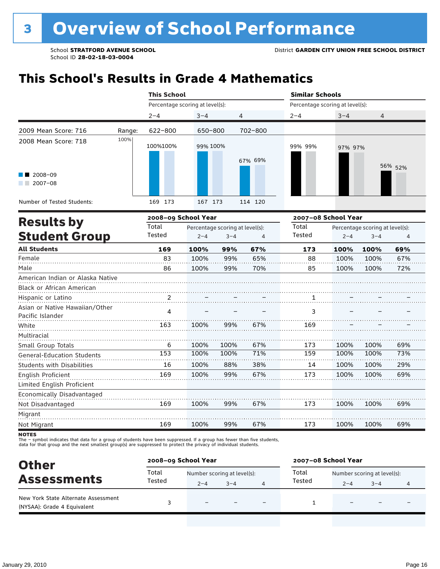# **This School's Results in Grade 4 Mathematics**

|                                                               |        | <b>This School</b>              |          |                                            |         | <b>Similar Schools</b>          |         |                                            |         |
|---------------------------------------------------------------|--------|---------------------------------|----------|--------------------------------------------|---------|---------------------------------|---------|--------------------------------------------|---------|
|                                                               |        | Percentage scoring at level(s): |          |                                            |         | Percentage scoring at level(s): |         |                                            |         |
|                                                               |        | $2 - 4$                         | $3 - 4$  | 4                                          |         | $2 - 4$                         | $3 - 4$ | 4                                          |         |
| 2009 Mean Score: 716                                          | Range: | 622-800                         | 650-800  |                                            | 702-800 |                                 |         |                                            |         |
| 2008 Mean Score: 718                                          | 100%   | 100%100%                        | 99% 100% |                                            | 67% 69% | 99% 99%                         | 97% 97% |                                            | 56% 52% |
| 2008-09<br>$2007 - 08$                                        |        |                                 |          |                                            |         |                                 |         |                                            |         |
| Number of Tested Students:                                    |        | 169 173                         | 167 173  |                                            | 114 120 |                                 |         |                                            |         |
| <b>Results by</b>                                             |        | 2008-09 School Year             |          |                                            |         | 2007-08 School Year             |         |                                            |         |
| <b>Student Group</b>                                          |        | Total<br>Tested                 | $2 - 4$  | Percentage scoring at level(s):<br>$3 - 4$ | 4       | Total<br>Tested                 | $2 - 4$ | Percentage scoring at level(s):<br>$3 - 4$ | 4       |
| <b>All Students</b>                                           |        | 169                             | 100%     | 99%                                        | 67%     | 173                             | 100%    | 100%                                       | 69%     |
| Female                                                        |        | 83                              | 100%     | 99%                                        | 65%     | 88                              | 100%    | 100%                                       | 67%     |
| Male                                                          |        | 86                              | 100%     | 99%                                        | 70%     | 85                              | 100%    | 100%                                       | 72%     |
| American Indian or Alaska Native<br>Black or African American |        |                                 |          |                                            |         |                                 |         |                                            |         |
| Hispanic or Latino                                            |        | 2                               |          |                                            |         | 1                               |         |                                            |         |
| Asian or Native Hawaiian/Other<br>Pacific Islander            |        | 4                               |          |                                            |         | 3                               |         |                                            |         |
| White                                                         |        | 163                             | 100%     | 99%                                        | 67%     | 169                             |         |                                            |         |
| Multiracial<br>Small Group Totals                             |        | 6                               | 100%     | 100%                                       | 67%     | 173                             | 100%    | 100%                                       | 69%     |
| <b>General-Education Students</b>                             |        | 153                             | 100%     | 100%                                       | 71%     | 159                             | 100%    | 100%                                       | 73%     |
| <b>Students with Disabilities</b>                             |        | 16                              | 100%     | 88%                                        | 38%     | 14                              | 100%    | 100%                                       | 29%     |
| English Proficient                                            |        | 169                             | 100%     | 99%                                        | 67%     | 173                             | 100%    | 100%                                       | 69%     |
| Limited English Proficient                                    |        |                                 |          |                                            |         |                                 |         |                                            |         |
| Economically Disadvantaged                                    |        |                                 |          |                                            |         |                                 |         |                                            |         |
| Not Disadvantaged                                             |        | 169                             | 100%     | 99%                                        | 67%     | 173                             | 100%    | 100%                                       | 69%     |
| Migrant                                                       |        |                                 |          |                                            |         |                                 |         |                                            |         |
| Not Migrant                                                   |        | 169                             | 100%     | 99%                                        | 67%     | 173                             | 100%    | 100%                                       | 69%     |

**NOTES** 

| <b>Other</b>                                                       | 2008-09 School Year |                             |         |                          | 2007-08 School Year |                             |                          |   |  |
|--------------------------------------------------------------------|---------------------|-----------------------------|---------|--------------------------|---------------------|-----------------------------|--------------------------|---|--|
| <b>Assessments</b>                                                 | Total               | Number scoring at level(s): |         |                          | Total               | Number scoring at level(s): |                          |   |  |
|                                                                    | Tested              | $2 - 4$                     | $3 - 4$ | 4                        | Tested              | $2 - 4$                     | $3 - 4$                  | 4 |  |
| New York State Alternate Assessment<br>(NYSAA): Grade 4 Equivalent |                     | $\overline{\phantom{0}}$    |         | $\overline{\phantom{0}}$ |                     |                             | $\overline{\phantom{0}}$ |   |  |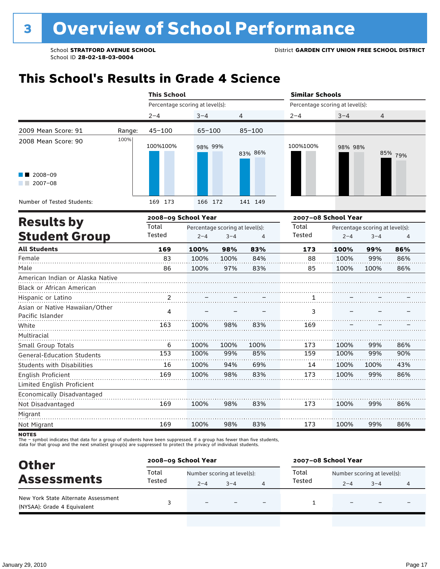## **This School's Results in Grade 4 Science**

|                                                               |                 | <b>This School</b>                                         |         |      |                 | <b>Similar Schools</b><br>Percentage scoring at level(s): |                                            |      |         |  |
|---------------------------------------------------------------|-----------------|------------------------------------------------------------|---------|------|-----------------|-----------------------------------------------------------|--------------------------------------------|------|---------|--|
|                                                               |                 | Percentage scoring at level(s):                            |         |      |                 |                                                           |                                            |      |         |  |
|                                                               |                 | $2 - 4$                                                    | $3 - 4$ | 4    |                 | $2 - 4$                                                   | $3 - 4$                                    | 4    |         |  |
| 2009 Mean Score: 91                                           | Range:          | $45 - 100$                                                 | 65-100  |      | $85 - 100$      |                                                           |                                            |      |         |  |
| 2008 Mean Score: 90                                           | 100%            | 100%100%                                                   | 98% 99% |      | 83% 86%         | 100%100%                                                  | 98% 98%                                    |      | 85% 79% |  |
| 2008-09<br>$2007 - 08$                                        |                 |                                                            |         |      |                 |                                                           |                                            |      |         |  |
| Number of Tested Students:                                    |                 | 169 173                                                    | 166 172 |      | 141 149         |                                                           |                                            |      |         |  |
| <b>Results by</b>                                             |                 | 2008-09 School Year                                        |         |      |                 | 2007-08 School Year                                       |                                            |      |         |  |
| <b>Student Group</b>                                          | Total<br>Tested | Percentage scoring at level(s):<br>$2 - 4$<br>$3 - 4$<br>4 |         |      | Total<br>Tested | $2 - 4$                                                   | Percentage scoring at level(s):<br>$3 - 4$ | 4    |         |  |
| <b>All Students</b>                                           |                 | 169                                                        | 100%    | 98%  | 83%             | 173                                                       | 100%                                       | 99%  | 86%     |  |
| Female                                                        |                 | 83                                                         | 100%    | 100% | 84%             | 88                                                        | 100%                                       | 99%  | 86%     |  |
| Male                                                          |                 | 86                                                         | 100%    | 97%  | 83%             | 85                                                        | 100%                                       | 100% | 86%     |  |
| American Indian or Alaska Native<br>Black or African American |                 |                                                            |         |      |                 |                                                           |                                            |      |         |  |
| Hispanic or Latino                                            |                 | 2                                                          |         |      |                 | 1                                                         |                                            |      |         |  |
| Asian or Native Hawaiian/Other<br>Pacific Islander            |                 | 4                                                          |         |      |                 | 3                                                         |                                            |      |         |  |
| White                                                         |                 | 163                                                        | 100%    | 98%  | 83%             | 169                                                       |                                            |      |         |  |
| Multiracial<br>Small Group Totals                             |                 | 6                                                          | 100%    | 100% | 100%            | 173                                                       | 100%                                       | 99%  | 86%     |  |
| <b>General-Education Students</b>                             |                 | 153                                                        | 100%    | 99%  | 85%             | 159                                                       | 100%                                       | 99%  | 90%     |  |
| <b>Students with Disabilities</b>                             |                 | 16                                                         | 100%    | 94%  | 69%             | 14                                                        | 100%                                       | 100% | 43%     |  |
| English Proficient                                            |                 | 169                                                        | 100%    | 98%  | 83%             | 173                                                       | 100%                                       | 99%  | 86%     |  |
| Limited English Proficient                                    |                 |                                                            |         |      |                 |                                                           |                                            |      |         |  |
| Economically Disadvantaged                                    |                 |                                                            |         |      |                 |                                                           |                                            |      |         |  |
| Not Disadvantaged                                             |                 | 169                                                        | 100%    | 98%  | 83%             | 173                                                       | 100%                                       | 99%  | 86%     |  |
| Migrant                                                       |                 |                                                            |         |      |                 |                                                           |                                            |      |         |  |
| Not Migrant                                                   |                 | 169                                                        | 100%    | 98%  | 83%             | 173                                                       | 100%                                       | 99%  | 86%     |  |

**NOTES** 

| <b>Other</b>                                                       | 2008-09 School Year |                             |         |   | 2007-08 School Year |                             |                          |   |  |
|--------------------------------------------------------------------|---------------------|-----------------------------|---------|---|---------------------|-----------------------------|--------------------------|---|--|
| <b>Assessments</b>                                                 | Total               | Number scoring at level(s): |         |   | Total               | Number scoring at level(s): |                          |   |  |
|                                                                    | Tested              | $2 - 4$                     | $3 - 4$ |   | Tested              | $2 - 4$                     | $3 - 4$                  | 4 |  |
| New York State Alternate Assessment<br>(NYSAA): Grade 4 Equivalent |                     | $\overline{\phantom{0}}$    |         | - |                     |                             | $\overline{\phantom{0}}$ |   |  |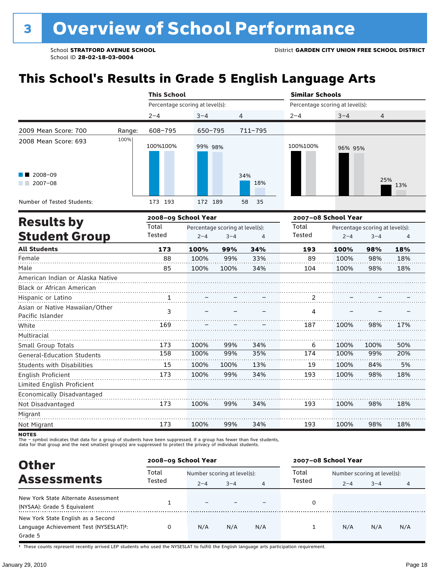# **This School's Results in Grade 5 English Language Arts**

|                                   |        | <b>This School</b>                       |         |         |            | <b>Similar Schools</b> |                                 |                                 |     |  |  |
|-----------------------------------|--------|------------------------------------------|---------|---------|------------|------------------------|---------------------------------|---------------------------------|-----|--|--|
|                                   |        | Percentage scoring at level(s):          |         |         |            |                        | Percentage scoring at level(s): |                                 |     |  |  |
|                                   |        | $2 - 4$                                  | $3 - 4$ |         | 4          | $2 - 4$                | $3 - 4$                         | $\overline{4}$                  |     |  |  |
| 2009 Mean Score: 700              | Range: | 608-795                                  | 650-795 |         | 711-795    |                        |                                 |                                 |     |  |  |
| 2008 Mean Score: 693              | 100%   | 100%100%                                 | 99% 98% |         |            | 100%100%               | 96% 95%                         |                                 |     |  |  |
| 2008-09<br>$2007 - 08$            |        |                                          |         |         | 34%<br>18% |                        |                                 | 25%                             | 13% |  |  |
| Number of Tested Students:        |        | 173 193                                  | 172 189 |         | 58<br>35   |                        |                                 |                                 |     |  |  |
| <b>Results by</b>                 |        | 2008-09 School Year                      |         |         |            | 2007-08 School Year    |                                 |                                 |     |  |  |
|                                   |        | Total<br>Percentage scoring at level(s): |         |         |            | Total                  |                                 | Percentage scoring at level(s): |     |  |  |
| <b>Student Group</b>              |        | Tested                                   | $2 - 4$ | $3 - 4$ | 4          | Tested                 | $2 - 4$                         | $3 - 4$                         | 4   |  |  |
| <b>All Students</b>               |        | 173                                      | 100%    | 99%     | 34%        | 193                    | 100%                            | 98%                             | 18% |  |  |
| Female                            |        | 88                                       | 100%    | 99%     | 33%        | 89                     | 100%                            | 98%                             | 18% |  |  |
| Male                              |        | 85                                       | 100%    | 100%    | 34%        | 104                    | 100%                            | 98%                             | 18% |  |  |
| American Indian or Alaska Native  |        |                                          |         |         |            |                        |                                 |                                 |     |  |  |
| Black or African American         |        |                                          |         |         |            |                        |                                 |                                 |     |  |  |
| Hispanic or Latino                |        | 1                                        |         |         |            | 2                      |                                 |                                 |     |  |  |
| Asian or Native Hawaiian/Other    |        | 3                                        |         |         |            | 4                      |                                 |                                 |     |  |  |
| Pacific Islander                  |        |                                          |         |         |            |                        |                                 |                                 |     |  |  |
| White                             |        | 169                                      |         |         |            | 187                    | 100%                            | 98%                             | 17% |  |  |
| Multiracial                       |        |                                          |         |         |            |                        |                                 |                                 |     |  |  |
| Small Group Totals                |        | 173                                      | 100%    | 99%     | 34%        | 6                      | 100%                            | 100%                            | 50% |  |  |
| <b>General-Education Students</b> |        | 158                                      | 100%    | 99%     | 35%        | 174                    | 100%                            | 99%                             | 20% |  |  |
| <b>Students with Disabilities</b> |        | 15                                       | 100%    | 100%    | 13%        | 19                     | 100%                            | 84%                             | 5%  |  |  |
| English Proficient                |        | 173                                      | 100%    | 99%     | 34%        | 193                    | 100%                            | 98%                             | 18% |  |  |
| Limited English Proficient        |        |                                          |         |         |            |                        |                                 |                                 |     |  |  |
| Economically Disadvantaged        |        |                                          |         |         |            |                        |                                 |                                 |     |  |  |
| Not Disadvantaged                 |        | 173                                      | 100%    | 99%     | 34%        | 193                    | 100%                            | 98%                             | 18% |  |  |
| Migrant                           |        |                                          |         |         |            |                        |                                 |                                 |     |  |  |
| Not Migrant                       |        | 173                                      | 100%    | 99%     | 34%        | 193                    | 100%                            | 98%                             | 18% |  |  |

**NOTES** 

The – symbol indicates that data for a group of students have been suppressed. If a group has fewer than five students,<br>data for that group and the next smallest group(s) are suppressed to protect the privacy of individual

| <b>Other</b>                                                                                         | 2008-09 School Year |                             |         |     | 2007-08 School Year |                             |         |     |  |
|------------------------------------------------------------------------------------------------------|---------------------|-----------------------------|---------|-----|---------------------|-----------------------------|---------|-----|--|
| <b>Assessments</b>                                                                                   | Total               | Number scoring at level(s): |         |     | Total               | Number scoring at level(s): |         |     |  |
|                                                                                                      | Tested              | $2 - 4$                     | $3 - 4$ | 4   | Tested              | $2 - 4$                     | $3 - 4$ | 4   |  |
| New York State Alternate Assessment<br>(NYSAA): Grade 5 Equivalent                                   |                     |                             |         |     |                     |                             |         |     |  |
| New York State English as a Second<br>Language Achievement Test (NYSESLAT) <sup>+</sup> :<br>Grade 5 |                     | N/A                         | N/A     | N/A |                     | N/A                         | N/A     | N/A |  |

† These counts represent recently arrived LEP students who used the NYSESLAT to fulfill the English language arts participation requirement.